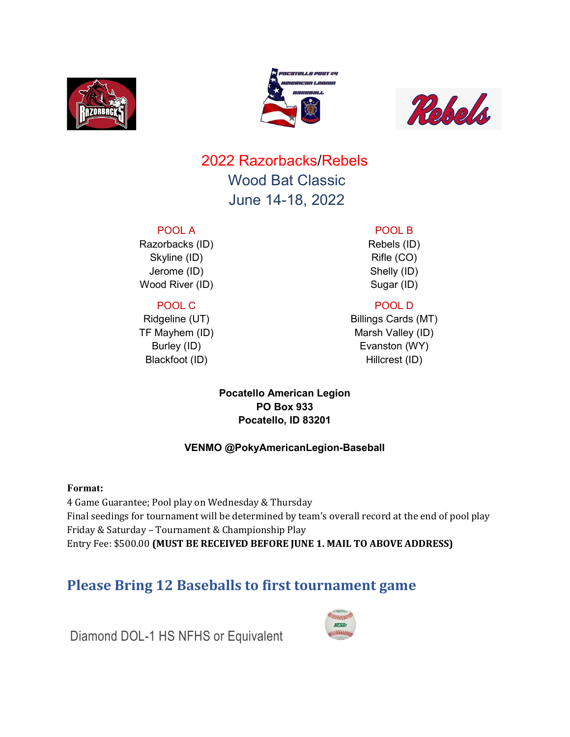





## 2022 Razorbacks/Rebels Wood Bat Classic June 14-18, 2022

#### POOL A

Razorbacks (ID) Skyline (ID) Jerome (ID) Wood River (ID)

#### POOL C

Ridgeline (UT) TF Mayhem (ID) Burley (ID) Blackfoot (ID)

## POOL B

Rebels (ID) Rifle (CO) Shelly (ID) Sugar (ID)

### POOL D

Billings Cards (MT) Marsh Valley (ID) Evanston (WY) Hillcrest (ID)

#### Pocatello American Legion PO Box 933 Pocatello, ID 83201

#### VENMO @PokyAmericanLegion-Baseball

#### Format:

4 Game Guarantee; Pool play on Wednesday & Thursday Final seedings for tournament will be determined by team's overall record at the end of pool play Friday & Saturday – Tournament & Championship Play Entry Fee: \$500.00 (MUST BE RECEIVED BEFORE JUNE 1. MAIL TO ABOVE ADDRESS)

## Please Bring 12 Baseballs to first tournament game



Diamond DOL-1 HS NFHS or Equivalent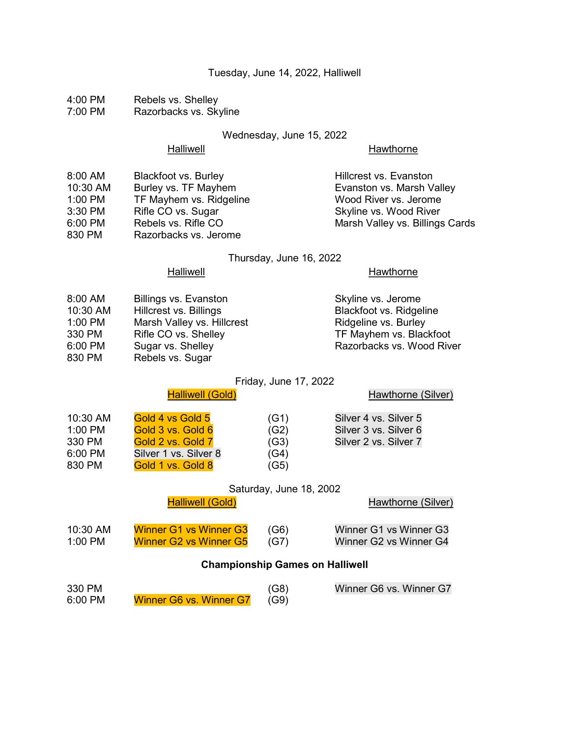#### Tuesday, June 14, 2022, Halliwell

4:00 PM Rebels vs. Shelley<br>7:00 PM Razorbacks vs. Skv Razorbacks vs. Skyline

#### Wednesday, June 15, 2022

#### Halliwell **Halliwell**

| 8:00 AM   | <b>Blackfoot vs. Burley</b> | Hillcrest vs. Evanston          |
|-----------|-----------------------------|---------------------------------|
| 10:30 AM  | Burley vs. TF Mayhem        | Evanston vs. Marsh Valley       |
| 1:00 PM   | TF Mayhem vs. Ridgeline     | Wood River vs. Jerome           |
| 3:30 PM   | Rifle CO vs. Sugar          | Skyline vs. Wood River          |
| $6:00$ PM | Rebels vs. Rifle CO         | Marsh Valley vs. Billings Cards |
| 830 PM    | Razorbacks vs. Jerome       |                                 |

#### Thursday, June 16, 2022

#### Halliwell **Halliwell**

| 8:00 AM  | Billings vs. Evanston      | Skyline vs. Jerome             |
|----------|----------------------------|--------------------------------|
| 10:30 AM | Hillcrest vs. Billings     | <b>Blackfoot vs. Ridgeline</b> |
| 1:00 PM  | Marsh Valley vs. Hillcrest | Ridgeline vs. Burley           |
| 330 PM   | Rifle CO vs. Shelley       | TF Mayhem vs. Blackfoot        |
| 6:00 PM  | Sugar vs. Shelley          | Razorbacks vs. Wood River      |
| 830 PM   | Rebels vs. Sugar           |                                |

# Friday, June 17, 2022<br>Halliwell (Gold)

|                                                    | <b>Halliwell (Gold)</b>                                                                                  |                                      | Hawthorne (Silver)                                                      |
|----------------------------------------------------|----------------------------------------------------------------------------------------------------------|--------------------------------------|-------------------------------------------------------------------------|
| 10:30 AM<br>1:00 PM<br>330 PM<br>6:00 PM<br>830 PM | Gold 4 vs Gold 5<br>Gold 3 vs. Gold 6<br>Gold 2 vs. Gold 7<br>Silver 1 vs. Silver 8<br>Gold 1 vs. Gold 8 | (G1)<br>(G2)<br>(G3)<br>(G4)<br>(G5) | Silver 4 vs. Silver 5<br>Silver 3 vs. Silver 6<br>Silver 2 vs. Silver 7 |
|                                                    |                                                                                                          |                                      |                                                                         |

#### Saturday, June 18, 2002 Halliwell (Gold) **Halliwell** (Gold) **Hawthorne** (Silver)

| 10:30 AM | <b>Winner G1 vs Winner G3</b> | (G6) | Winner G1 vs Winner G3 |
|----------|-------------------------------|------|------------------------|
| 1:00 PM  | <b>Winner G2 vs Winner G5</b> | (G7) | Winner G2 vs Winner G4 |

#### Championship Games on Halliwell

| 330 PM  |                         | (G8) | Winner G6 vs. Winner G7 |
|---------|-------------------------|------|-------------------------|
| 6:00 PM | Winner G6 vs. Winner G7 | (G9) |                         |